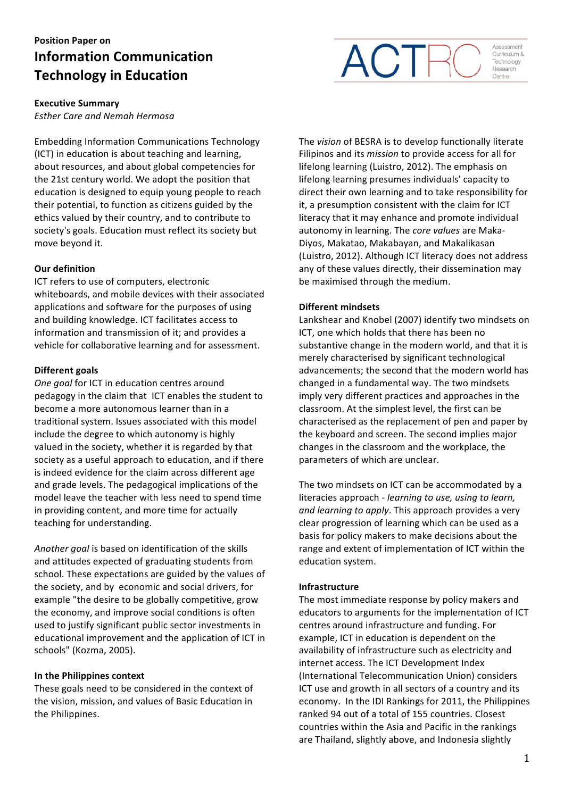# **Position Paper on Information Communication Technology in Education**



*Esther Care and Nemah Hermosa*

Embedding Information Communications Technology (ICT) in education is about teaching and learning, about resources, and about global competencies for the 21st century world. We adopt the position that education is designed to equip young people to reach their potential, to function as citizens guided by the ethics valued by their country, and to contribute to society's goals. Education must reflect its society but move beyond it.

## **Our definition**

ICT refers to use of computers, electronic whiteboards, and mobile devices with their associated applications and software for the purposes of using and building knowledge. ICT facilitates access to information and transmission of it; and provides a vehicle for collaborative learning and for assessment.

#### **Different goals**

**One goal for ICT in education centres around** pedagogy in the claim that ICT enables the student to become a more autonomous learner than in a traditional system. Issues associated with this model include the degree to which autonomy is highly valued in the society, whether it is regarded by that society as a useful approach to education, and if there is indeed evidence for the claim across different age and grade levels. The pedagogical implications of the model leave the teacher with less need to spend time in providing content, and more time for actually teaching for understanding.

Another goal is based on identification of the skills and attitudes expected of graduating students from school. These expectations are guided by the values of the society, and by economic and social drivers, for example "the desire to be globally competitive, grow the economy, and improve social conditions is often used to justify significant public sector investments in educational improvement and the application of ICT in schools" (Kozma, 2005).

## **In the Philippines context**

These goals need to be considered in the context of the vision, mission, and values of Basic Education in the Philippines.

The *vision* of BESRA is to develop functionally literate Filipinos and its *mission* to provide access for all for lifelong learning (Luistro, 2012). The emphasis on lifelong learning presumes individuals' capacity to direct their own learning and to take responsibility for it, a presumption consistent with the claim for ICT literacy that it may enhance and promote individual autonomy in learning. The *core values* are Maka-Diyos, Makatao, Makabayan, and Makalikasan (Luistro, 2012). Although ICT literacy does not address any of these values directly, their dissemination may be maximised through the medium.

ACT

Assessment

Curriculum & Technology Research Centre

## **Different mindsets**

Lankshear and Knobel (2007) identify two mindsets on ICT, one which holds that there has been no substantive change in the modern world, and that it is merely characterised by significant technological advancements; the second that the modern world has changed in a fundamental way. The two mindsets imply very different practices and approaches in the classroom. At the simplest level, the first can be characterised as the replacement of pen and paper by the keyboard and screen. The second implies major changes in the classroom and the workplace, the parameters of which are unclear.

The two mindsets on ICT can be accommodated by a literacies approach - *learning to use, using to learn,* and learning to apply. This approach provides a very clear progression of learning which can be used as a basis for policy makers to make decisions about the range and extent of implementation of ICT within the education system.

## **Infrastructure**

The most immediate response by policy makers and educators to arguments for the implementation of ICT centres around infrastructure and funding. For example, ICT in education is dependent on the availability of infrastructure such as electricity and internet access. The ICT Development Index (International Telecommunication Union) considers ICT use and growth in all sectors of a country and its economy. In the IDI Rankings for 2011, the Philippines ranked 94 out of a total of 155 countries. Closest countries within the Asia and Pacific in the rankings are Thailand, slightly above, and Indonesia slightly